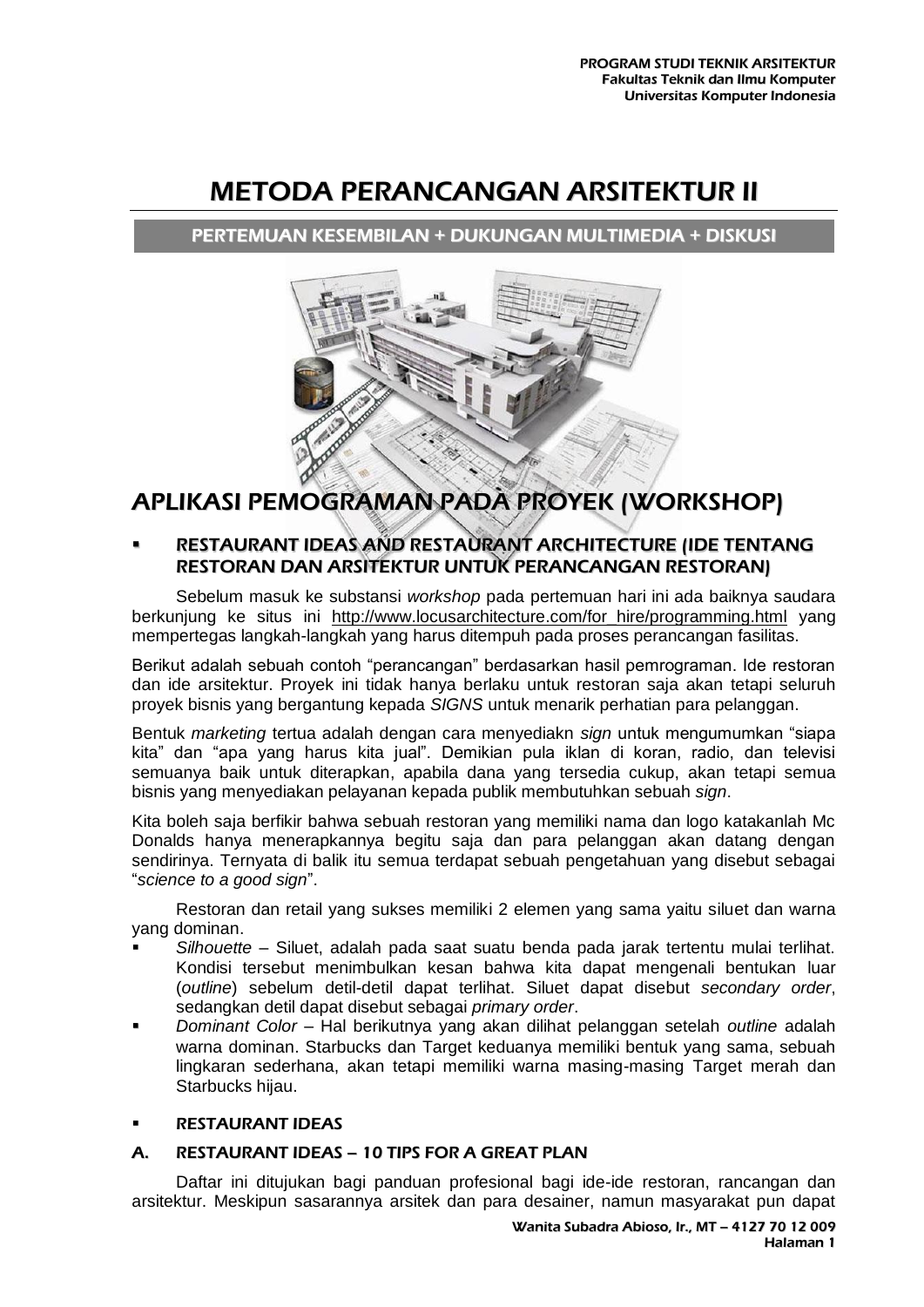# METODA PERANCANGAN ARSITEKTUR II

## PERTEMUAN KESEMBILAN + DUKUNGAN MULTIMEDIA + DISKUSI



## APLIKASI PEMOGRAMAN PADA PROYEK (WORKSHOP)

## RESTAURANT IDEAS AND RESTAURANT [ARCHITECTURE](http://archisaur.us/) (IDE TENTANG RESTORAN DAN ARSITEKTUR UNTUK PERANCANGAN RESTORAN)

Sebelum masuk ke substansi *workshop* pada pertemuan hari ini ada baiknya saudara berkunjung ke situs ini [http://www.locusarchitecture.com/for\\_hire/programming.html](http://www.locusarchitecture.com/for_hire/programming.html) yang mempertegas langkah-langkah yang harus ditempuh pada proses perancangan fasilitas.

Berikut adalah sebuah contoh "perancangan" berdasarkan hasil pemrograman. Ide restoran dan ide arsitektur. Proyek ini tidak hanya berlaku untuk restoran saja akan tetapi seluruh proyek bisnis yang bergantung kepada *SIGNS* untuk menarik perhatian para pelanggan.

Bentuk *marketing* tertua adalah dengan cara menyediakn *sign* untuk mengumumkan "siapa kita" dan "apa yang harus kita jual". Demikian pula iklan di koran, radio, dan televisi semuanya baik untuk diterapkan, apabila dana yang tersedia cukup, akan tetapi semua bisnis yang menyediakan pelayanan kepada publik membutuhkan sebuah *sign*.

Kita boleh saja berfikir bahwa sebuah restoran yang memiliki nama dan logo katakanlah Mc Donalds hanya menerapkannya begitu saja dan para pelanggan akan datang dengan sendirinya. Ternyata di balik itu semua terdapat sebuah pengetahuan yang disebut sebagai "*science to a good sign*".

Restoran dan retail yang sukses memiliki 2 elemen yang sama yaitu siluet dan warna yang dominan.

- *Silhouette* Siluet, adalah pada saat suatu benda pada jarak tertentu mulai terlihat. Kondisi tersebut menimbulkan kesan bahwa kita dapat mengenali bentukan luar (*outline*) sebelum detil-detil dapat terlihat. Siluet dapat disebut *secondary order*, sedangkan detil dapat disebut sebagai *primary order*.
- *Dominant Color* Hal berikutnya yang akan dilihat pelanggan setelah *outline* adalah warna dominan. Starbucks dan Target keduanya memiliki bentuk yang sama, sebuah lingkaran sederhana, akan tetapi memiliki warna masing-masing Target merah dan Starbucks hijau.

## [RESTAURANT](http://archisaur.us/2010/06/restaurant-design-10-tips-for-a-great-plan/) IDEAS

## A. [RESTAURANT](http://archisaur.us/2010/06/restaurant-design-10-tips-for-a-great-plan/) IDEAS – 10 TIPS FOR A GREAT PLAN

Daftar ini ditujukan bagi panduan profesional bagi ide-ide restoran, rancangan dan arsitektur. Meskipun sasarannya arsitek dan para desainer, namun masyarakat pun dapat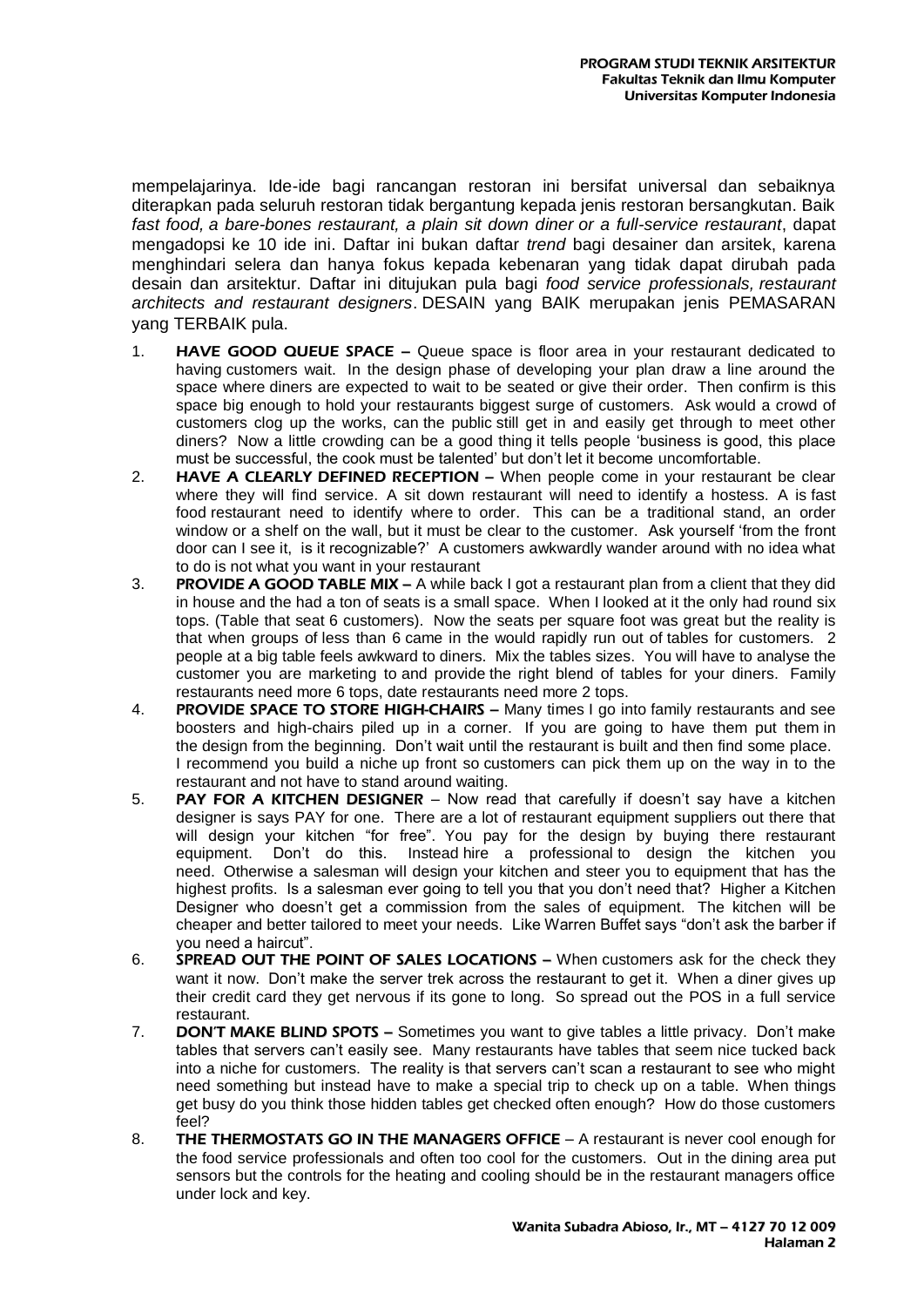mempelajarinya. Ide-ide bagi rancangan restoran ini bersifat universal dan sebaiknya diterapkan pada seluruh restoran tidak bergantung kepada jenis restoran bersangkutan. Baik *fast food, a bare-bones restaurant, a plain sit down diner or a full-service restaurant*, dapat mengadopsi ke 10 ide ini. Daftar ini bukan daftar *trend* bagi desainer dan arsitek, karena menghindari selera dan hanya fokus kepada kebenaran yang tidak dapat dirubah pada desain dan arsitektur. Daftar ini ditujukan pula bagi *food service professionals, restaurant architects and restaurant designers*. DESAIN yang BAIK merupakan jenis PEMASARAN yang TERBAIK pula.

- 1. HAVE GOOD QUEUE SPACE **–** Queue space is floor area in your restaurant dedicated to having customers wait. In the design phase of developing your plan draw a line around the space where diners are expected to wait to be seated or give their order. Then confirm is this space big enough to hold your restaurants biggest surge of customers. Ask would a crowd of customers clog up the works, can the public still get in and easily get through to meet other diners? Now a little crowding can be a good thing it tells people 'business is good, this place must be successful, the cook must be talented' but don't let it become uncomfortable.
- 2. **HAVE A CLEARLY DEFINED RECEPTION –** When people come in your restaurant be clear where they will find service. A sit down restaurant will need to identify a hostess. A is fast food restaurant need to identify where to order. This can be a traditional stand, an order window or a shelf on the wall, but it must be clear to the customer. Ask yourself 'from the front door can I see it, is it recognizable?' A customers awkwardly wander around with no idea what to do is not what you want in your restaurant
- 3. PROVIDE A GOOD TABLE MIX A while back I got a restaurant plan from a client that they did in house and the had a ton of seats is a small space. When I looked at it the only had round six tops. (Table that seat 6 customers). Now the seats per square foot was great but the reality is that when groups of less than 6 came in the would rapidly run out of tables for customers. 2 people at a big table feels awkward to diners. Mix the tables sizes. You will have to analyse the customer you are marketing to and provide the right blend of tables for your diners. Family restaurants need more 6 tops, date restaurants need more 2 tops.
- 4. PROVIDE SPACE TO STORE HIGH-CHAIRS **–** Many times I go into family restaurants and see boosters and high-chairs piled up in a corner. If you are going to have them put them in the design from the beginning. Don't wait until the restaurant is built and then find some place. I recommend you build a niche up front so customers can pick them up on the way in to the restaurant and not have to stand around waiting.
- 5. PAY FOR A KITCHEN DESIGNER Now read that carefully if doesn't say have a kitchen designer is says PAY for one. There are a lot of restaurant equipment suppliers out there that will design your kitchen "for free". You pay for the design by buying there restaurant equipment. Don't do this. Instead hire a professional to design the kitchen you need. Otherwise a salesman will design your kitchen and steer you to equipment that has the highest profits. Is a salesman ever going to tell you that you don't need that? Higher a Kitchen Designer who doesn't get a commission from the sales of equipment. The kitchen will be cheaper and better tailored to meet your needs. Like Warren Buffet says "don't ask the barber if you need a haircut".
- 6. SPREAD OUT THE POINT OF SALES LOCATIONS When customers ask for the check they want it now. Don't make the server trek across the restaurant to get it. When a diner gives up their credit card they get nervous if its gone to long. So spread out the POS in a full service restaurant.
- 7. DON'T MAKE BLIND SPOTS Sometimes you want to give tables a little privacy. Don't make tables that servers can't easily see. Many restaurants have tables that seem nice tucked back into a niche for customers. The reality is that servers can't scan a restaurant to see who might need something but instead have to make a special trip to check up on a table. When things get busy do you think those hidden tables get checked often enough? How do those customers feel?
- 8. THE THERMOSTATS GO IN THE MANAGERS OFFICE A restaurant is never cool enough for the food service professionals and often too cool for the customers. Out in the dining area put sensors but the controls for the heating and cooling should be in the restaurant managers office under lock and key.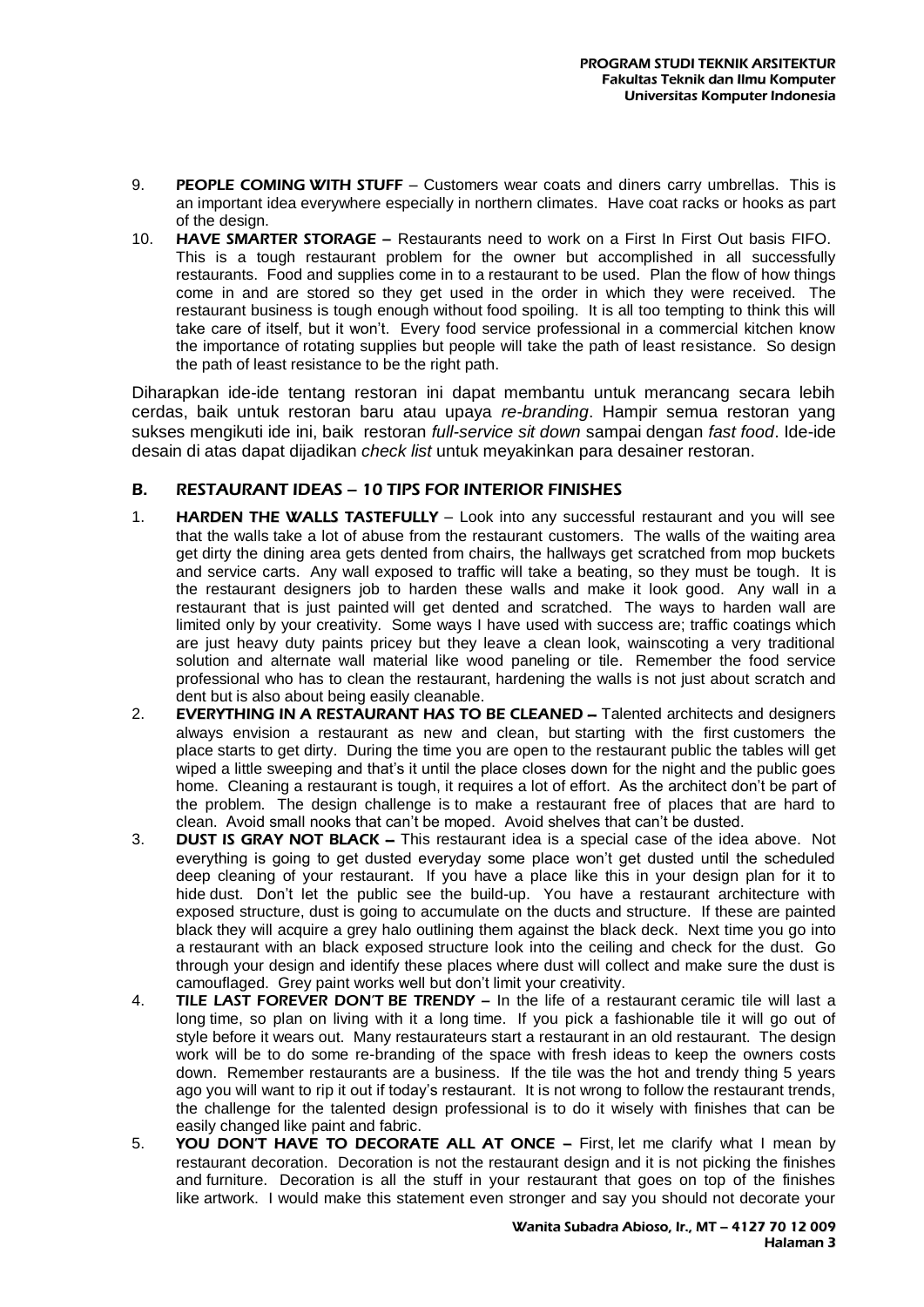- 9. PEOPLE COMING WITH STUFF Customers wear coats and diners carry umbrellas. This is an important idea everywhere especially in northern climates. Have coat racks or hooks as part of the design.
- 10. HAVE SMARTER STORAGE Restaurants need to work on a First In First Out basis FIFO. This is a tough restaurant problem for the owner but accomplished in all successfully restaurants. Food and supplies come in to a restaurant to be used. Plan the flow of how things come in and are stored so they get used in the order in which they were received. The restaurant business is tough enough without food spoiling. It is all too tempting to think this will take care of itself, but it won't. Every food service professional in a commercial kitchen know the importance of rotating supplies but people will take the path of least resistance. So design the path of least resistance to be the right path.

Diharapkan ide-ide tentang restoran ini dapat membantu untuk merancang secara lebih cerdas, baik untuk restoran baru atau upaya *re-branding*. Hampir semua restoran yang sukses mengikuti ide ini, baik restoran *full-service sit down* sampai dengan *fast food*. Ide-ide desain di atas dapat dijadikan *check list* untuk meyakinkan para desainer restoran.

### B. [RESTAURANT](http://archisaur.us/2010/11/restaurant-ideas-10-tips-for-interior-finishes/) IDEAS – 10 TIPS FOR INTERIOR FINISHES

- 1. **HARDEN THE WALLS TASTEFULLY** Look into any successful restaurant and you will see that the walls take a lot of abuse from the restaurant customers. The walls of the waiting area get dirty the dining area gets dented from chairs, the hallways get scratched from mop buckets and service carts. Any wall exposed to traffic will take a beating, so they must be tough. It is the restaurant designers job to harden these walls and make it look good. Any wall in a restaurant that is just painted will get dented and scratched. The ways to harden wall are limited only by your creativity. Some ways I have used with success are; traffic coatings which are just heavy duty paints pricey but they leave a clean look, wainscoting a very traditional solution and alternate wall material like wood paneling or tile. Remember the food service professional who has to clean the restaurant, hardening the walls is not just about scratch and dent but is also about being easily cleanable.
- 2. **EVERYTHING IN A RESTAURANT HAS TO BE CLEANED –** Talented architects and designers always envision a restaurant as new and clean, but starting with the first customers the place starts to get dirty. During the time you are open to the restaurant public the tables will get wiped a little sweeping and that's it until the place closes down for the night and the public goes home. Cleaning a restaurant is tough, it requires a lot of effort. As the architect don't be part of the problem. The design challenge is to make a restaurant free of places that are hard to clean. Avoid small nooks that can't be moped. Avoid shelves that can't be dusted.
- 3. DUST IS GRAY NOT BLACK This restaurant idea is a special case of the idea above. Not everything is going to get dusted everyday some place won't get dusted until the scheduled deep cleaning of your restaurant. If you have a place like this in your design plan for it to hide dust. Don't let the public see the build-up. You have a restaurant architecture with exposed structure, dust is going to accumulate on the ducts and structure. If these are painted black they will acquire a grey halo outlining them against the black deck. Next time you go into a restaurant with an black exposed structure look into the ceiling and check for the dust. Go through your design and identify these places where dust will collect and make sure the dust is camouflaged. Grey paint works well but don't limit your creativity.
- 4. TILE LAST FOREVER DON'T BE TRENDY In the life of a restaurant ceramic tile will last a long time, so plan on living with it a long time. If you pick a fashionable tile it will go out of style before it wears out. Many restaurateurs start a restaurant in an old restaurant. The design work will be to do some re-branding of the space with fresh ideas to keep the owners costs down. Remember restaurants are a business. If the tile was the hot and trendy thing 5 years ago you will want to rip it out if today's restaurant. It is not wrong to follow the restaurant trends, the challenge for the talented design professional is to do it wisely with finishes that can be easily changed like paint and fabric.
- 5. YOU DON'T HAVE TO DECORATE ALL AT ONCE First, let me clarify what I mean by restaurant decoration. Decoration is not the restaurant design and it is not picking the finishes and furniture. Decoration is all the stuff in your restaurant that goes on top of the finishes like artwork. I would make this statement even stronger and say you should not decorate your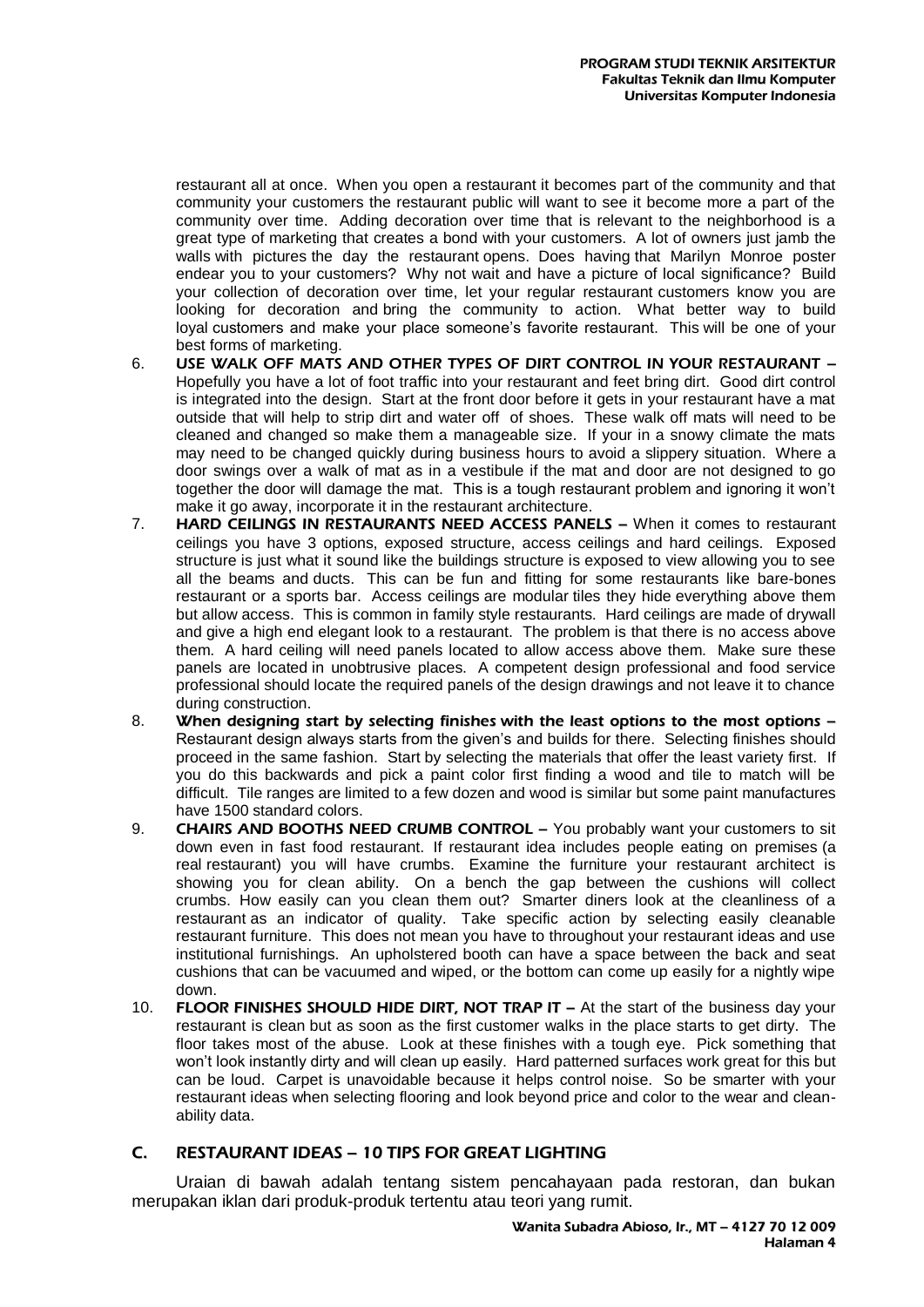restaurant all at once. When you open a restaurant it becomes part of the community and that community your customers the restaurant public will want to see it become more a part of the community over time. Adding decoration over time that is relevant to the neighborhood is a great type of marketing that creates a bond with your customers. A lot of owners just jamb the walls with pictures the day the restaurant opens. Does having that Marilyn Monroe poster endear you to your customers? Why not wait and have a picture of local significance? Build your collection of decoration over time, let your regular restaurant customers know you are looking for decoration and bring the community to action. What better way to build loyal customers and make your place someone's favorite restaurant. This will be one of your best forms of marketing.

- 6. USE WALK OFF MATS AND OTHER TYPES OF DIRT CONTROL IN YOUR RESTAURANT **–** Hopefully you have a lot of foot traffic into your restaurant and feet bring dirt. Good dirt control is integrated into the design. Start at the front door before it gets in your restaurant have a mat outside that will help to strip dirt and water off of shoes. These walk off mats will need to be cleaned and changed so make them a manageable size. If your in a snowy climate the mats may need to be changed quickly during business hours to avoid a slippery situation. Where a door swings over a walk of mat as in a vestibule if the mat and door are not designed to go together the door will damage the mat. This is a tough restaurant problem and ignoring it won't make it go away, incorporate it in the restaurant architecture.
- 7. HARD CEILINGS IN RESTAURANTS NEED ACCESS PANELS When it comes to restaurant ceilings you have 3 options, exposed structure, access ceilings and hard ceilings. Exposed structure is just what it sound like the buildings structure is exposed to view allowing you to see all the beams and ducts. This can be fun and fitting for some restaurants like bare-bones restaurant or a sports bar. Access ceilings are modular tiles they hide everything above them but allow access. This is common in family style restaurants. Hard ceilings are made of drywall and give a high end elegant look to a restaurant. The problem is that there is no access above them. A hard ceiling will need panels located to allow access above them. Make sure these panels are located in unobtrusive places. A competent design professional and food service professional should locate the required panels of the design drawings and not leave it to chance during construction.
- 8. When designing start by selecting finishes with the least options to the most options -Restaurant design always starts from the given's and builds for there. Selecting finishes should proceed in the same fashion. Start by selecting the materials that offer the least variety first. If you do this backwards and pick a paint color first finding a wood and tile to match will be difficult. Tile ranges are limited to a few dozen and wood is similar but some paint manufactures have 1500 standard colors.
- 9. CHAIRS AND BOOTHS NEED CRUMB CONTROL You probably want your customers to sit down even in fast food restaurant. If restaurant idea includes people eating on premises (a real restaurant) you will have crumbs. Examine the furniture your restaurant architect is showing you for clean ability. On a bench the gap between the cushions will collect crumbs. How easily can you clean them out? Smarter diners look at the cleanliness of a restaurant as an indicator of quality. Take specific action by selecting easily cleanable restaurant furniture. This does not mean you have to throughout your restaurant ideas and use institutional furnishings. An upholstered booth can have a space between the back and seat cushions that can be vacuumed and wiped, or the bottom can come up easily for a nightly wipe down.
- 10. FLOOR FINISHES SHOULD HIDE DIRT, NOT TRAP IT At the start of the business day your restaurant is clean but as soon as the first customer walks in the place starts to get dirty. The floor takes most of the abuse. Look at these finishes with a tough eye. Pick something that won't look instantly dirty and will clean up easily. Hard patterned surfaces work great for this but can be loud. Carpet is unavoidable because it helps control noise. So be smarter with your restaurant ideas when selecting flooring and look beyond price and color to the wear and cleanability data.

## C. [RESTAURANT](http://archisaur.us/2010/11/restaurant-design-10-tips-for-great-lighting/) IDEAS – 10 TIPS FOR GREAT LIGHTING

Uraian di bawah adalah tentang sistem pencahayaan pada restoran, dan bukan merupakan iklan dari produk-produk tertentu atau teori yang rumit.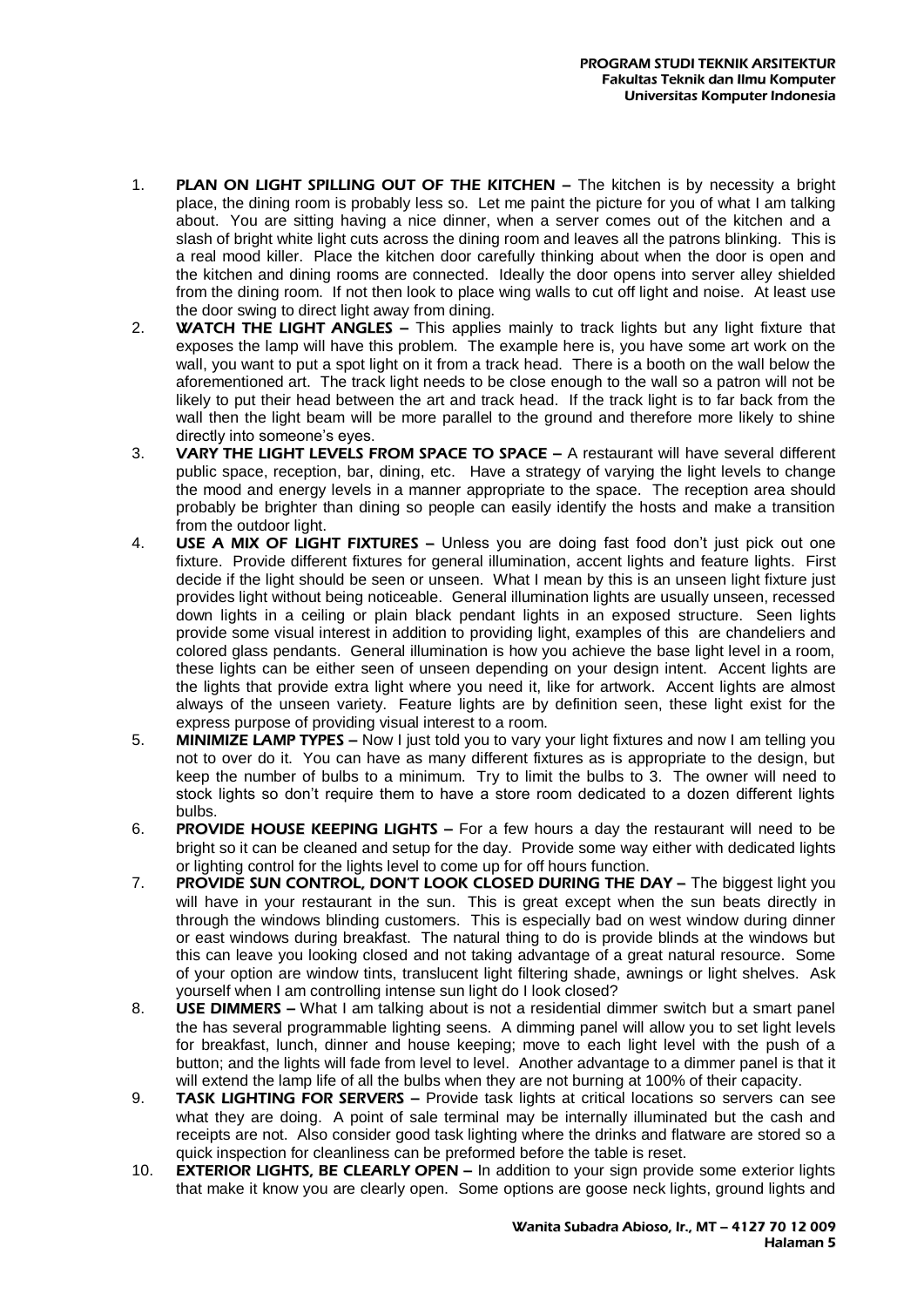- 1. PLAN ON LIGHT SPILLING OUT OF THE KITCHEN The kitchen is by necessity a bright place, the dining room is probably less so. Let me paint the picture for you of what I am talking about. You are sitting having a nice dinner, when a server comes out of the kitchen and a slash of bright white light cuts across the dining room and leaves all the patrons blinking. This is a real mood killer. Place the kitchen door carefully thinking about when the door is open and the kitchen and dining rooms are connected. Ideally the door opens into server alley shielded from the dining room. If not then look to place wing walls to cut off light and noise. At least use the door swing to direct light away from dining.
- 2. WATCH THE LIGHT ANGLES **–** This applies mainly to track lights but any light fixture that exposes the lamp will have this problem. The example here is, you have some art work on the wall, you want to put a spot light on it from a track head. There is a booth on the wall below the aforementioned art. The track light needs to be close enough to the wall so a patron will not be likely to put their head between the art and track head. If the track light is to far back from the wall then the light beam will be more parallel to the ground and therefore more likely to shine directly into someone's eyes.
- 3. VARY THE LIGHT LEVELS FROM SPACE TO SPACE **–** A restaurant will have several different public space, reception, bar, dining, etc. Have a strategy of varying the light levels to change the mood and energy levels in a manner appropriate to the space. The reception area should probably be brighter than dining so people can easily identify the hosts and make a transition from the outdoor light.
- 4. **USE A MIX OF LIGHT FIXTURES** Unless you are doing fast food don't just pick out one fixture. Provide different fixtures for general illumination, accent lights and feature lights. First decide if the light should be seen or unseen. What I mean by this is an unseen light fixture just provides light without being noticeable. General illumination lights are usually unseen, recessed down lights in a ceiling or plain black pendant lights in an exposed structure. Seen lights provide some visual interest in addition to providing light, examples of this are chandeliers and colored glass pendants. General illumination is how you achieve the base light level in a room, these lights can be either seen of unseen depending on your design intent. Accent lights are the lights that provide extra light where you need it, like for artwork. Accent lights are almost always of the unseen variety. Feature lights are by definition seen, these light exist for the express purpose of providing visual interest to a room.
- 5. MINIMIZE LAMP TYPES **–** Now I just told you to vary your light fixtures and now I am telling you not to over do it. You can have as many different fixtures as is appropriate to the design, but keep the number of bulbs to a minimum. Try to limit the bulbs to 3. The owner will need to stock lights so don't require them to have a store room dedicated to a dozen different lights bulbs.
- 6. PROVIDE HOUSE KEEPING LIGHTS **–** For a few hours a day the restaurant will need to be bright so it can be cleaned and setup for the day. Provide some way either with dedicated lights or lighting control for the lights level to come up for off hours function.
- 7. PROVIDE SUN CONTROL, DON'T LOOK CLOSED DURING THE DAY The biggest light you will have in your restaurant in the sun. This is great except when the sun beats directly in through the windows blinding customers. This is especially bad on west window during dinner or east windows during breakfast. The natural thing to do is provide blinds at the windows but this can leave you looking closed and not taking advantage of a great natural resource. Some of your option are window tints, translucent light filtering shade, awnings or light shelves. Ask yourself when I am controlling intense sun light do I look closed?
- 8. USE DIMMERS **–** What I am talking about is not a residential dimmer switch but a smart panel the has several programmable lighting seens. A dimming panel will allow you to set light levels for breakfast, lunch, dinner and house keeping; move to each light level with the push of a button; and the lights will fade from level to level. Another advantage to a dimmer panel is that it will extend the lamp life of all the bulbs when they are not burning at 100% of their capacity.
- 9. TASK LIGHTING FOR SERVERS **–** Provide task lights at critical locations so servers can see what they are doing. A point of sale terminal may be internally illuminated but the cash and receipts are not. Also consider good task lighting where the drinks and flatware are stored so a quick inspection for cleanliness can be preformed before the table is reset.
- 10. EXTERIOR LIGHTS, BE CLEARLY OPEN **–** In addition to your sign provide some exterior lights that make it know you are clearly open. Some options are goose neck lights, ground lights and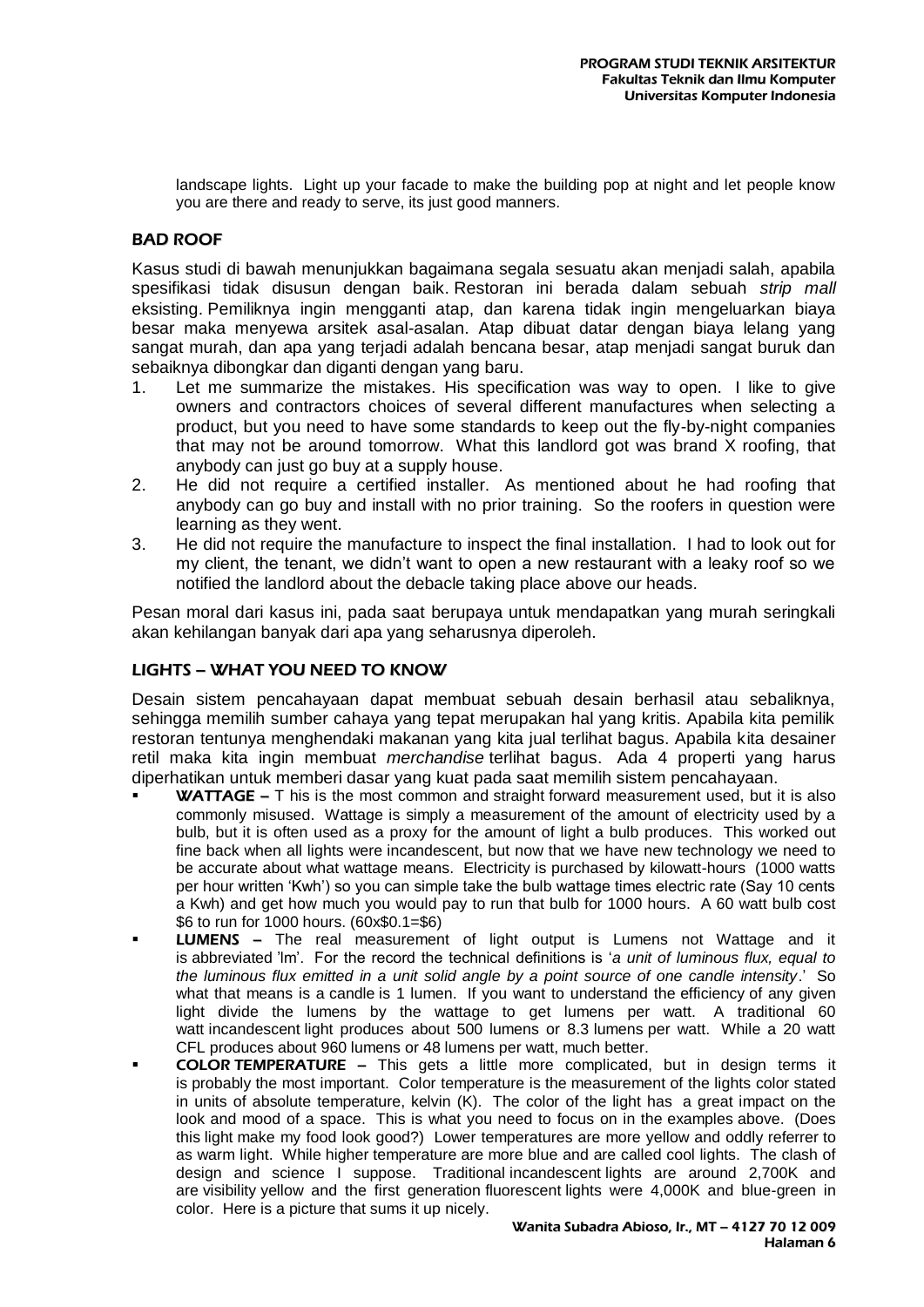landscape lights. Light up your facade to make the building pop at night and let people know you are there and ready to serve, its just good manners.

## BAD [ROOF](http://archisaur.us/2010/07/bad-roof/)

Kasus studi di bawah menunjukkan bagaimana segala sesuatu akan menjadi salah, apabila spesifikasi tidak disusun dengan baik. Restoran ini berada dalam sebuah *strip mall* eksisting. Pemiliknya ingin mengganti atap, dan karena tidak ingin mengeluarkan biaya besar maka menyewa arsitek asal-asalan. Atap dibuat datar dengan biaya lelang yang sangat murah, dan apa yang terjadi adalah bencana besar, atap menjadi sangat buruk dan sebaiknya dibongkar dan diganti dengan yang baru.

- 1. Let me summarize the mistakes. His specification was way to open. I like to give owners and contractors choices of several different manufactures when selecting a product, but you need to have some standards to keep out the fly-by-night companies that may not be around tomorrow. What this landlord got was brand X roofing, that anybody can just go buy at a supply house.
- 2. He did not require a certified installer. As mentioned about he had roofing that anybody can go buy and install with no prior training. So the roofers in question were learning as they went.
- 3. He did not require the manufacture to inspect the final installation. I had to look out for my client, the tenant, we didn't want to open a new restaurant with a leaky roof so we notified the landlord about the debacle taking place above our heads.

Pesan moral dari kasus ini, pada saat berupaya untuk mendapatkan yang murah seringkali akan kehilangan banyak dari apa yang seharusnya diperoleh.

#### [LIGHTS](http://archisaur.us/2010/07/lights-what-you-need-to-know/) – WHAT YOU NEED TO KNOW

Desain sistem pencahayaan dapat membuat sebuah desain berhasil atau sebaliknya, sehingga memilih sumber cahaya yang tepat merupakan hal yang kritis. Apabila kita pemilik restoran tentunya menghendaki makanan yang kita jual terlihat bagus. Apabila kita desainer retil maka kita ingin membuat *merchandise* terlihat bagus. Ada 4 properti yang harus diperhatikan untuk memberi dasar yang kuat pada saat memilih sistem pencahayaan.

- **WATTAGE**  $-$  T his is the most common and straight forward measurement used, but it is also commonly misused. Wattage is simply a measurement of the amount of electricity used by a bulb, but it is often used as a proxy for the amount of light a bulb produces. This worked out fine back when all lights were incandescent, but now that we have new technology we need to be accurate about what wattage means. Electricity is purchased by kilowatt-hours (1000 watts per hour written 'Kwh') so you can simple take the bulb wattage times electric rate (Say 10 cents a Kwh) and get how much you would pay to run that bulb for 1000 hours. A 60 watt bulb cost \$6 to run for 1000 hours. (60x\$0.1=\$6)
- LUMENS The real measurement of light output is Lumens not Wattage and it is abbreviated 'lm'. For the record the technical definitions is '*a unit of luminous flux, equal to the luminous flux emitted in a unit solid angle by a point source of one candle intensity*.' So what that means is a candle is 1 lumen. If you want to understand the efficiency of any given light divide the lumens by the wattage to get lumens per watt. A traditional 60 watt incandescent light produces about 500 lumens or 8.3 lumens per watt. While a 20 watt CFL produces about 960 lumens or 48 lumens per watt, much better.
- COLOR TEMPERATURE This gets a little more complicated, but in design terms it is probably the most important. Color temperature is the measurement of the lights color stated in units of absolute temperature, kelvin (K). The color of the light has a great impact on the look and mood of a space. This is what you need to focus on in the examples above. (Does this light make my food look good?) Lower temperatures are more yellow and oddly referrer to as warm light. While higher temperature are more blue and are called cool lights. The clash of design and science I suppose. Traditional incandescent lights are around 2,700K and are visibility yellow and the first generation fluorescent lights were 4,000K and blue-green in color. Here is a picture that sums it up nicely.